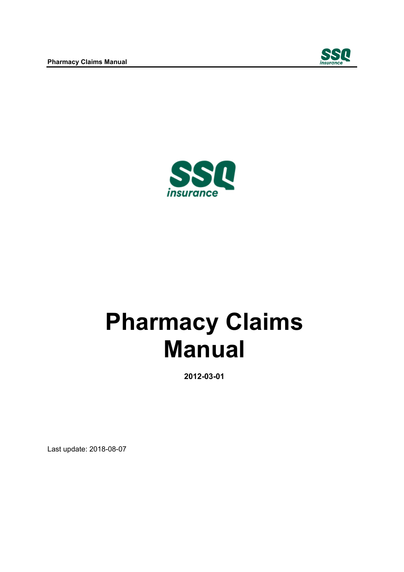



**2012-03-01** 

Last update: 2018-08-07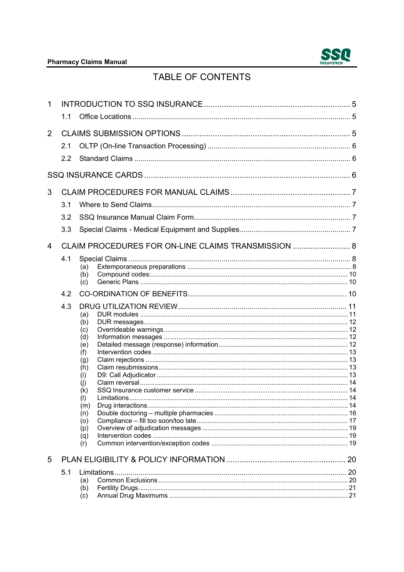

# TABLE OF CONTENTS

| 1              |     |                                                     |  |  |  |
|----------------|-----|-----------------------------------------------------|--|--|--|
|                | 1.1 |                                                     |  |  |  |
| $\overline{2}$ |     |                                                     |  |  |  |
|                | 2.1 |                                                     |  |  |  |
|                | 2.2 |                                                     |  |  |  |
|                |     |                                                     |  |  |  |
| 3              |     |                                                     |  |  |  |
|                | 3.1 |                                                     |  |  |  |
|                | 3.2 |                                                     |  |  |  |
|                | 3.3 |                                                     |  |  |  |
| 4              |     | CLAIM PROCEDURES FOR ON-LINE CLAIMS TRANSMISSION  8 |  |  |  |
|                | 4.1 |                                                     |  |  |  |
|                |     | (a)<br>(b)                                          |  |  |  |
|                |     | (c)                                                 |  |  |  |
|                | 4.2 |                                                     |  |  |  |
|                | 4.3 |                                                     |  |  |  |
|                |     | (a)                                                 |  |  |  |
|                |     | (b)<br>(c)                                          |  |  |  |
|                |     | (d)                                                 |  |  |  |
|                |     | (e)                                                 |  |  |  |
|                |     | (f)                                                 |  |  |  |
|                |     | (g)                                                 |  |  |  |
|                |     | (h)                                                 |  |  |  |
|                |     | (i)<br>(j)                                          |  |  |  |
|                |     | (k)                                                 |  |  |  |
|                |     | (1)                                                 |  |  |  |
|                |     | (m)                                                 |  |  |  |
|                |     | (n)                                                 |  |  |  |
|                |     | (o)<br>(p)                                          |  |  |  |
|                |     | (q)                                                 |  |  |  |
|                |     | (r)                                                 |  |  |  |
| 5              |     |                                                     |  |  |  |
|                | 5.1 |                                                     |  |  |  |
|                |     | (a)                                                 |  |  |  |
|                |     | (b)                                                 |  |  |  |
|                |     | (c)                                                 |  |  |  |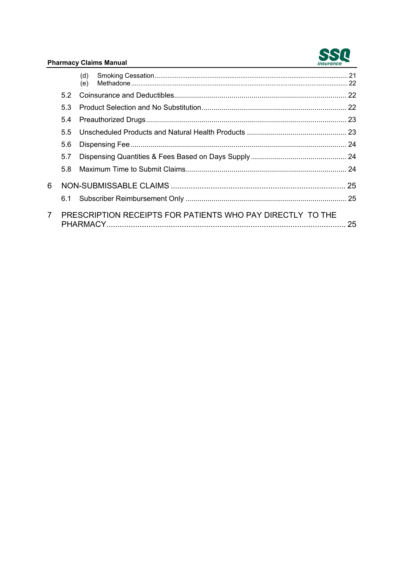

|                |     | (d) |                                                            |  |
|----------------|-----|-----|------------------------------------------------------------|--|
|                |     | (e) |                                                            |  |
|                |     |     |                                                            |  |
|                | 5.3 |     |                                                            |  |
|                | 5.4 |     |                                                            |  |
|                | 55  |     |                                                            |  |
|                | 5.6 |     |                                                            |  |
|                | 5.7 |     |                                                            |  |
|                | 5.8 |     |                                                            |  |
| 6              |     |     |                                                            |  |
|                |     |     |                                                            |  |
| $\overline{7}$ |     |     | PRESCRIPTION RECEIPTS FOR PATIENTS WHO PAY DIRECTLY TO THE |  |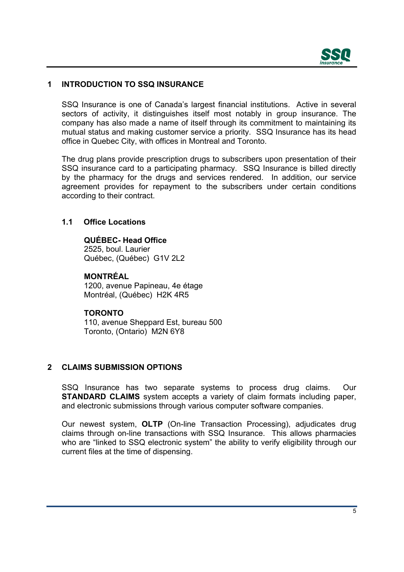

# <span id="page-3-0"></span>**1 INTRODUCTION TO SSQ INSURANCE**

 office in Quebec City, with offices in Montreal and Toronto. SSQ Insurance is one of Canada's largest financial institutions. Active in several sectors of activity, it distinguishes itself most notably in group insurance. The company has also made a name of itself through its commitment to maintaining its mutual status and making customer service a priority. SSQ Insurance has its head

The drug plans provide prescription drugs to subscribers upon presentation of their SSQ insurance card to a participating pharmacy. SSQ Insurance is billed directly by the pharmacy for the drugs and services rendered. In addition, our service agreement provides for repayment to the subscribers under certain conditions according to their contract.

#### **1.1 Office Locations**

# **QUÉBEC- Head Office**

2525, boul. Laurier Québec, (Québec) G1V 2L2

# **MONTRÉAL**

1200, avenue Papineau, 4e étage Montréal, (Québec) H2K 4R5

#### **TORONTO**

 Toronto, (Ontario) M2N 6Y8 110, avenue Sheppard Est, bureau 500

# **2 CLAIMS SUBMISSION OPTIONS**

SSQ Insurance has two separate systems to process drug claims. Our **STANDARD CLAIMS** system accepts a variety of claim formats including paper, and electronic submissions through various computer software companies.

 claims through on-line transactions with SSQ Insurance. This allows pharmacies Our newest system, **OLTP** (On-line Transaction Processing), adjudicates drug who are "linked to SSQ electronic system" the ability to verify eligibility through our current files at the time of dispensing.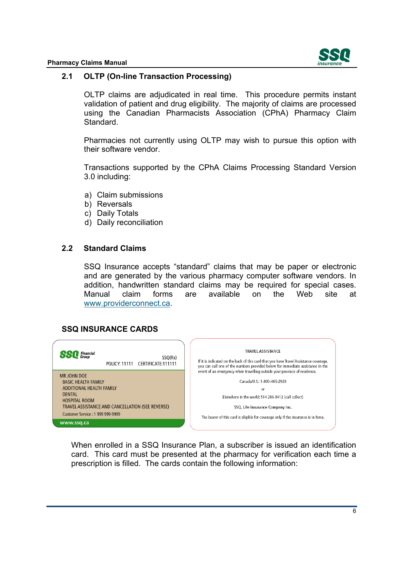

#### <span id="page-4-0"></span>**2.1 OLTP (On-line Transaction Processing)**

OLTP claims are adjudicated in real time. This procedure permits instant validation of patient and drug eligibility. The majority of claims are processed using the Canadian Pharmacists Association (CPhA) Pharmacy Claim Standard.

Pharmacies not currently using OLTP may wish to pursue this option with their software vendor.

Transactions supported by the CPhA Claims Processing Standard Version 3.0 including:

- a) Claim submissions
- b) Reversals
- c) Daily Totals
- d) Daily reconciliation

#### **2.2 Standard Claims**

SSQ Insurance accepts "standard" claims that may be paper or electronic and are generated by the various pharmacy computer software vendors. In addition, handwritten standard claims may be required for special cases. Manual claim forms are available on the Web site at <www.providerconnect.ca>.

# **SSQ INSURANCE CARDS**



When enrolled in a SSQ Insurance Plan, a subscriber is issued an identification card. This card must be presented at the pharmacy for verification each time a prescription is filled. The cards contain the following information: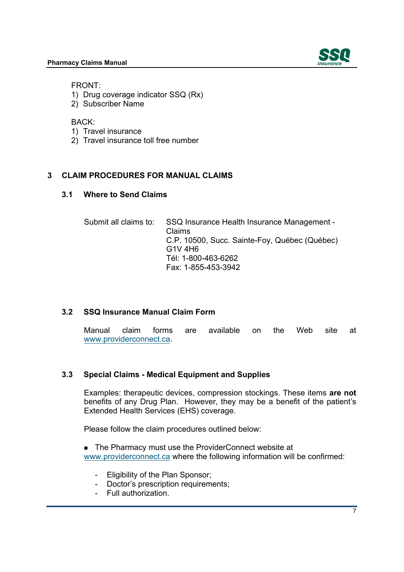

<span id="page-5-0"></span>FRONT:

- 1) Drug coverage indicator SSQ (Rx)
- 2) Subscriber Name

BACK:

- 1) Travel insurance
- 2) Travel insurance toll free number

# **3 CLAIM PROCEDURES FOR MANUAL CLAIMS**

# **3.1 Where to Send Claims**

Submit all claims to: SSQ Insurance Health Insurance Management - Claims C.P. 10500, Succ. Sainte-Foy, Québec (Québec) G1V 4H6 Tél: 1-800-463-6262 Fax: 1-855-453-3942

# **3.2 SSQ Insurance Manual Claim Form**

Manual claim forms are available on the Web site at <www.providerconnect.ca>.

# **3.3 Special Claims - Medical Equipment and Supplies**

Examples: therapeutic devices, compression stockings. These items **are not**  benefits of any Drug Plan. However, they may be a benefit of the patient's Extended Health Services (EHS) coverage.

Please follow the claim procedures outlined below:

■ The Pharmacy must use the ProviderConnect website at <www.providerconnect.ca> where the following information will be confirmed:

- Eligibility of the Plan Sponsor;
- Doctor's prescription requirements;
- Full authorization.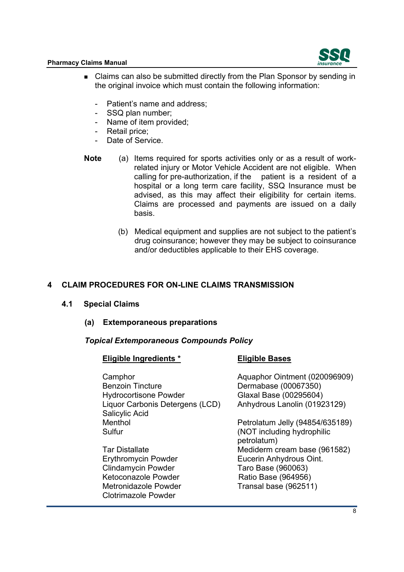

- <span id="page-6-0"></span>■ Claims can also be submitted directly from the Plan Sponsor by sending in the original invoice which must contain the following information:
	- Patient's name and address;
	- SSQ plan number;
	- Name of item provided;
	- Retail price;
	- Date of Service.
- calling for pre-authorization, if the patient is a resident of a hospital or a long term care facility, SSQ Insurance must be **Note** (a) Items required for sports activities only or as a result of workrelated injury or Motor Vehicle Accident are not eligible. When calling for pre-authorization. if the patient is a resident of a advised, as this may affect their eligibility for certain items. Claims are processed and payments are issued on a daily basis.
	- (b) Medical equipment and supplies are not subject to the patient's drug coinsurance; however they may be subject to coinsurance and/or deductibles applicable to their EHS coverage.

# **4 CLAIM PROCEDURES FOR ON-LINE CLAIMS TRANSMISSION**

- **4.1 Special Claims**
	- **(a) Extemporaneous preparations**

#### *Topical Extemporaneous Compounds Policy*

| <b>Eligible Bases</b>                     |
|-------------------------------------------|
| Aquaphor Ointment (020096909)             |
| Dermabase (00067350)                      |
| Glaxal Base (00295604)                    |
| Anhydrous Lanolin (01923129)              |
|                                           |
| Petrolatum Jelly (94854/635189)           |
| (NOT including hydrophilic<br>petrolatum) |
| Mediderm cream base (961582)              |
| Eucerin Anhydrous Oint.                   |
| Taro Base (960063)                        |
| Ratio Base (964956)                       |
| Transal base (962511)                     |
|                                           |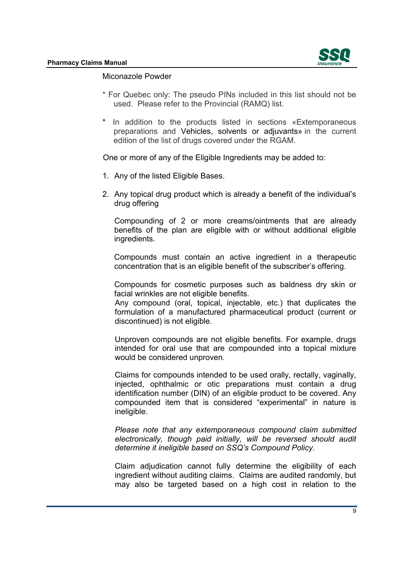

#### Miconazole Powder

- \* For Quebec only: The pseudo PINs included in this list should not be used. Please refer to the Provincial (RAMQ) list.
- \* In addition to the products listed in sections «Extemporaneous preparations and Vehicles, solvents or adjuvants» in the current edition of the list of drugs covered under the RGAM.

One or more of any of the Eligible Ingredients may be added to:

- 1. Any of the listed Eligible Bases.
- 2. Any topical drug product which is already a benefit of the individual's drug offering

Compounding of 2 or more creams/ointments that are already benefits of the plan are eligible with or without additional eligible ingredients.

Compounds must contain an active ingredient in a therapeutic concentration that is an eligible benefit of the subscriber's offering.

Compounds for cosmetic purposes such as baldness dry skin or facial wrinkles are not eligible benefits.

 Any compound (oral, topical, injectable, etc.) that duplicates the formulation of a manufactured pharmaceutical product (current or discontinued) is not eligible.

 intended for oral use that are compounded into a topical mixture Unproven compounds are not eligible benefits. For example, drugs would be considered unproven.

Claims for compounds intended to be used orally, rectally, vaginally, injected, ophthalmic or otic preparations must contain a drug identification number (DIN) of an eligible product to be covered. Any compounded item that is considered "experimental" in nature is ineligible.

*Please note that any extemporaneous compound claim submitted electronically, though paid initially, will be reversed should audit determine it ineligible based on SSQ's Compound Policy.* 

 ingredient without auditing claims. Claims are audited randomly, but may also be targeted based on a high cost in relation to the Claim adjudication cannot fully determine the eligibility of each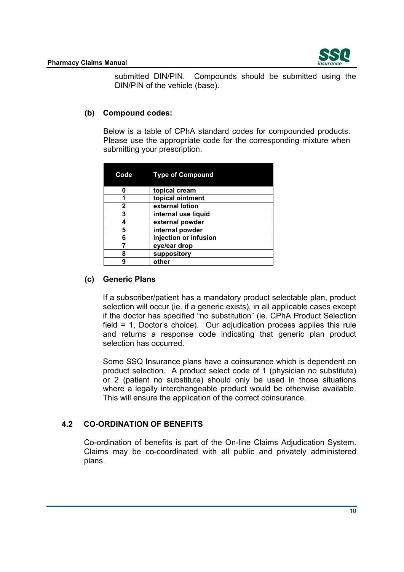

<span id="page-8-0"></span>submitted DIN/PIN. Compounds should be submitted using the DIN/PIN of the vehicle (base).

# **(b) Compound codes:**

Below is a table of CPhA standard codes for compounded products. Please use the appropriate code for the corresponding mixture when submitting your prescription.

| Code | <b>Type of Compound</b> |
|------|-------------------------|
|      | topical cream           |
| 1    | topical ointment        |
| 2    | external lotion         |
| 3    | internal use liquid     |
|      | external powder         |
| 5    | internal powder         |
| 6    | injection or infusion   |
|      | eye/ear drop            |
| 8    | suppository             |
| 9    | other                   |

# **(c) Generic Plans**

 field = 1, Doctor's choice). Our adjudication process applies this rule If a subscriber/patient has a mandatory product selectable plan, product selection will occur (ie. if a generic exists), in all applicable cases except if the doctor has specified "no substitution" (ie. CPhA Product Selection and returns a response code indicating that generic plan product selection has occurred.

where a legally interchangeable product would be otherwise available.<br>This will ensure the application of the correct coinsurance. Some SSQ Insurance plans have a coinsurance which is dependent on product selection. A product select code of 1 (physician no substitute) or 2 (patient no substitute) should only be used in those situations

# **4.2 CO-ORDINATION OF BENEFITS**

Co-ordination of benefits is part of the On-line Claims Adjudication System. Claims may be co-coordinated with all public and privately administered plans.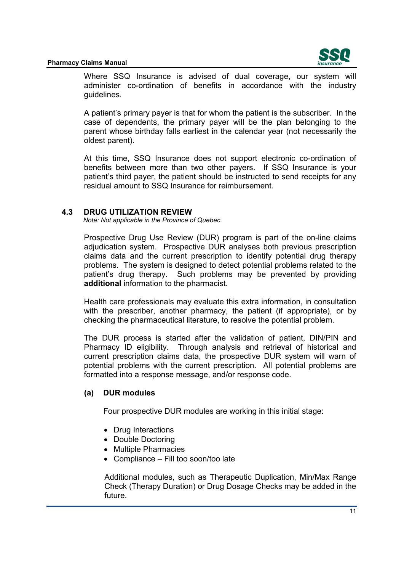

<span id="page-9-0"></span>Where SSQ Insurance is advised of dual coverage, our system will administer co-ordination of benefits in accordance with the industry guidelines.

A patient's primary payer is that for whom the patient is the subscriber. In the case of dependents, the primary payer will be the plan belonging to the parent whose birthday falls earliest in the calendar year (not necessarily the oldest parent).

 benefits between more than two other payers. If SSQ Insurance is your At this time, SSQ Insurance does not support electronic co-ordination of patient's third payer, the patient should be instructed to send receipts for any residual amount to SSQ Insurance for reimbursement.

# **4.3 DRUG UTILIZATION REVIEW**

*Note: Not applicable in the Province of Quebec.* 

patient's drug therapy. Prospective Drug Use Review (DUR) program is part of the on-line claims adjudication system. Prospective DUR analyses both previous prescription claims data and the current prescription to identify potential drug therapy problems. The system is designed to detect potential problems related to the Such problems may be prevented by providing **additional** information to the pharmacist.

Health care professionals may evaluate this extra information, in consultation with the prescriber, another pharmacy, the patient (if appropriate), or by checking the pharmaceutical literature, to resolve the potential problem.

 Pharmacy ID eligibility. Through analysis and retrieval of historical and potential problems with the current prescription. All potential problems are formatted into a response message, and/or response code. The DUR process is started after the validation of patient, DIN/PIN and current prescription claims data, the prospective DUR system will warn of

# **(a) DUR modules**

Four prospective DUR modules are working in this initial stage:

- Drug Interactions
- Double Doctoring
- Multiple Pharmacies
- Compliance Fill too soon/too late

 Check (Therapy Duration) or Drug Dosage Checks may be added in the Additional modules, such as Therapeutic Duplication, Min/Max Range future.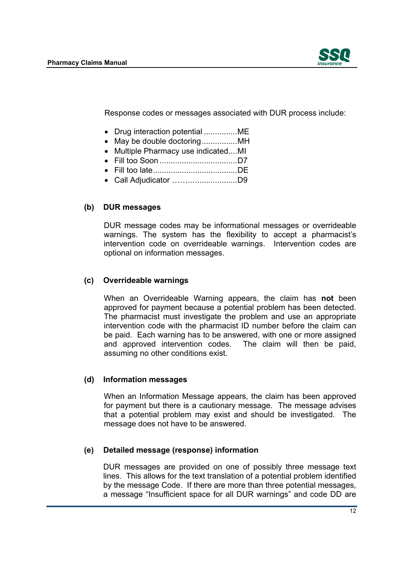

<span id="page-10-0"></span>Response codes or messages associated with DUR process include:

- Drug interaction potential ................ME
- May be double doctoring.................MH
- Multiple Pharmacy use indicated....MI
- ................................... Fill too Soon D7
- ...................................... Fill too late DE
- ……... ................... Call Adjudicator D9

# **(b) DUR messages**

DUR message codes may be informational messages or overrideable warnings. The system has the flexibility to accept a pharmacist's intervention code on overrideable warnings. Intervention codes are optional on information messages.

# **(c) Overrideable warnings**

When an Overrideable Warning appears, the claim has **not** been approved for payment because a potential problem has been detected. The pharmacist must investigate the problem and use an appropriate intervention code with the pharmacist ID number before the claim can be paid. Each warning has to be answered, with one or more assigned and approved intervention codes. The claim will then be paid, assuming no other conditions exist.

# **(d) Information messages**

 for payment but there is a cautionary message. The message advises When an Information Message appears, the claim has been approved that a potential problem may exist and should be investigated. The message does not have to be answered.

# **(e) Detailed message (response) information**

DUR messages are provided on one of possibly three message text lines. This allows for the text translation of a potential problem identified by the message Code. If there are more than three potential messages, a message "Insufficient space for all DUR warnings" and code DD are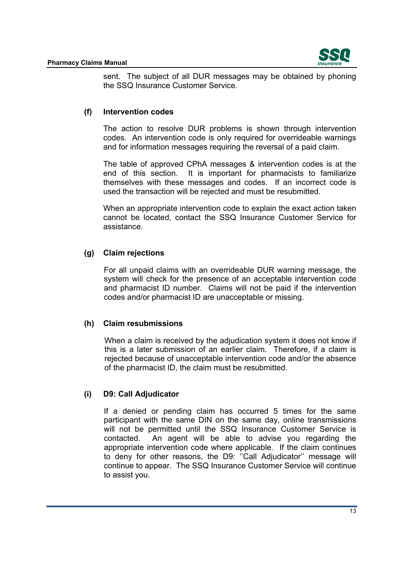

<span id="page-11-0"></span>sent. The subject of all DUR messages may be obtained by phoning the SSQ Insurance Customer Service.

# **(f) Intervention codes**

The action to resolve DUR problems is shown through intervention codes. An intervention code is only required for overrideable warnings and for information messages requiring the reversal of a paid claim.

 end of this section. It is important for pharmacists to familiarize themselves with these messages and codes. If an incorrect code is The table of approved CPhA messages & intervention codes is at the used the transaction will be rejected and must be resubmitted.

 assistance. When an appropriate intervention code to explain the exact action taken cannot be located, contact the SSQ Insurance Customer Service for

#### **(g) Claim rejections**

 codes and/or pharmacist ID are unacceptable or missing. For all unpaid claims with an overrideable DUR warning message, the system will check for the presence of an acceptable intervention code and pharmacist ID number. Claims will not be paid if the intervention

#### **(h) Claim resubmissions**

When a claim is received by the adjudication system it does not know if this is a later submission of an earlier claim. Therefore, if a claim is rejected because of unacceptable intervention code and/or the absence of the pharmacist ID, the claim must be resubmitted.

# **(i) D9: Call Adjudicator**

 to assist you. If a denied or pending claim has occurred 5 times for the same participant with the same DIN on the same day, online transmissions will not be permitted until the SSQ Insurance Customer Service is contacted. An agent will be able to advise you regarding the appropriate intervention code where applicable. If the claim continues to deny for other reasons, the D9: ''Call Adjudicator'' message will continue to appear. The SSQ Insurance Customer Service will continue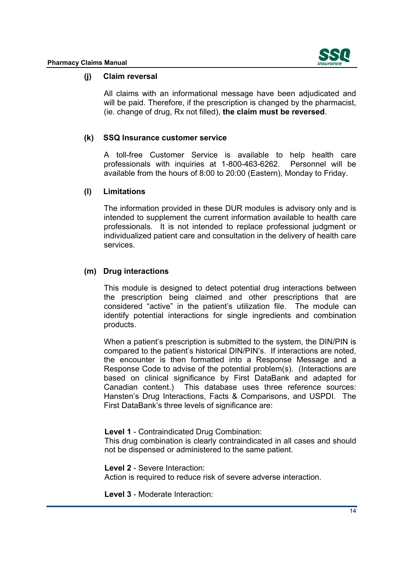

# <span id="page-12-0"></span>**(j) Claim reversal**

 will be paid. Therefore, if the prescription is changed by the pharmacist, All claims with an informational message have been adjudicated and (ie. change of drug, Rx not filled), **the claim must be reversed**.

#### **(k) SSQ Insurance customer service**

Personnel will be available from the hours of 8:00 to 20:00 (Eastern), Monday to Friday. A toll-free Customer Service is available to help health care professionals with inquiries at 1-800-463-6262.

#### **(l) Limitations**

 The information provided in these DUR modules is advisory only and is intended to supplement the current information available to health care professionals. It is not intended to replace professional judgment or individualized patient care and consultation in the delivery of health care services.

#### **(m) Drug interactions**

This module is designed to detect potential drug interactions between the prescription being claimed and other prescriptions that are considered "active" in the patient's utilization file. The module can identify potential interactions for single ingredients and combination products.

 compared to the patient's historical DIN/PIN's. If interactions are noted, based on clinical significance by First DataBank and adapted for First DataBank's three levels of significance are: When a patient's prescription is submitted to the system, the DIN/PIN is the encounter is then formatted into a Response Message and a Response Code to advise of the potential problem(s). (Interactions are Canadian content.) This database uses three reference sources: Hansten's Drug Interactions, Facts & Comparisons, and USPDI. The

**Level 1** - Contraindicated Drug Combination:

This drug combination is clearly contraindicated in all cases and should not be dispensed or administered to the same patient.

 Action is required to reduce risk of severe adverse interaction. **Level 2** - Severe Interaction:

**Level 3** - Moderate Interaction: 14<br>14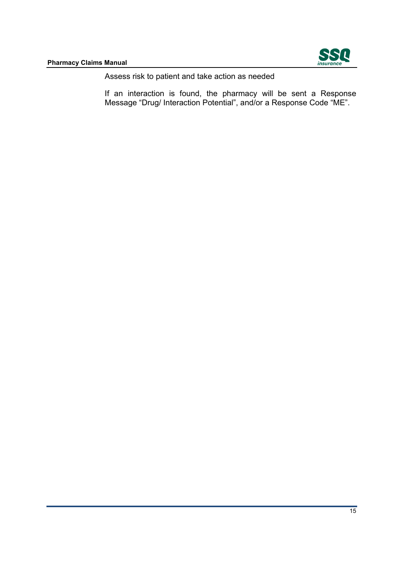

Assess risk to patient and take action as needed

If an interaction is found, the pharmacy will be sent a Response Message "Drug/ Interaction Potential", and/or a Response Code "ME".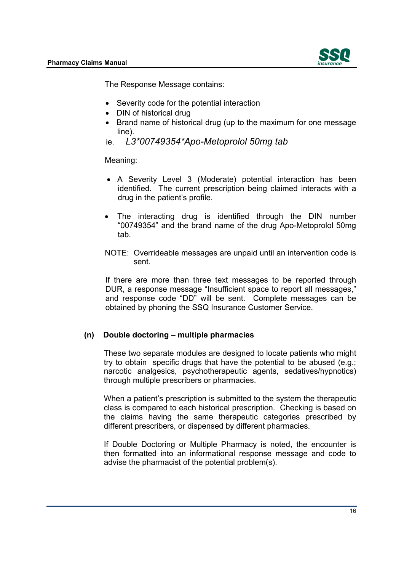

<span id="page-14-0"></span>The Response Message contains:

- $\bullet$ Severity code for the potential interaction
- DIN of historical drug
- Brand name of historical drug (up to the maximum for one message line).
- ie. *L3\*00749354\*Apo-Metoprolol 50mg tab*

Meaning:

- A Severity Level 3 (Moderate) potential interaction has been identified. The current prescription being claimed interacts with a drug in the patient's profile.
- The interacting drug is identified through the DIN number "00749354" and the brand name of the drug Apo-Metoprolol 50mg tab.
- NOTE: Overrideable messages are unpaid until an intervention code is sent.

If there are more than three text messages to be reported through DUR, a response message "Insufficient space to report all messages," and response code "DD" will be sent. Complete messages can be obtained by phoning the SSQ Insurance Customer Service.

# **(n) Double doctoring – multiple pharmacies**

These two separate modules are designed to locate patients who might try to obtain specific drugs that have the potential to be abused (e.g.; narcotic analgesics, psychotherapeutic agents, sedatives/hypnotics) through multiple prescribers or pharmacies.

 class is compared to each historical prescription. Checking is based on When a patient's prescription is submitted to the system the therapeutic the claims having the same therapeutic categories prescribed by different prescribers, or dispensed by different pharmacies.

 then formatted into an informational response message and code to If Double Doctoring or Multiple Pharmacy is noted, the encounter is advise the pharmacist of the potential problem(s).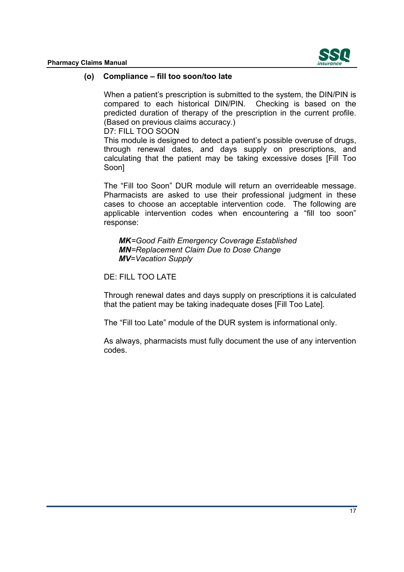

#### <span id="page-15-0"></span>**(o) Compliance – fill too soon/too late**

predicted duration of therapy of the prescription in the current profile.<br>(Based on previous claims accuracy.) When a patient's prescription is submitted to the system, the DIN/PIN is compared to each historical DIN/PIN. Checking is based on the

D7: FILL TOO SOON

This module is designed to detect a patient's possible overuse of drugs, through renewal dates, and days supply on prescriptions, and calculating that the patient may be taking excessive doses [Fill Too Soon]

 Pharmacists are asked to use their professional judgment in these The "Fill too Soon" DUR module will return an overrideable message. cases to choose an acceptable intervention code. The following are applicable intervention codes when encountering a "fill too soon" response:

*MK=Good Faith Emergency Coverage Established MN=Replacement Claim Due to Dose Change MV=Vacation Supply* 

#### DE: FILL TOO LATE

Through renewal dates and days supply on prescriptions it is calculated that the patient may be taking inadequate doses [Fill Too Late].

The "Fill too Late" module of the DUR system is informational only.

As always, pharmacists must fully document the use of any intervention codes.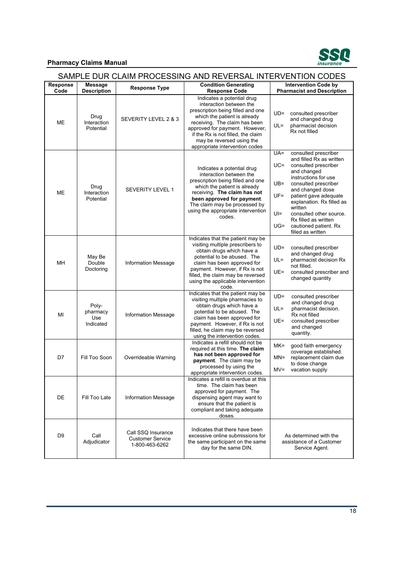

| SAMPLE DUR CLAIM PROCESSING AND REVERSAL INTERVENTION CODES |                                       |                                                                 |                                                                                                                                                                                                                                                                                                    |                                                                                                                                                                                                                                                                                                                                                                                    |  |
|-------------------------------------------------------------|---------------------------------------|-----------------------------------------------------------------|----------------------------------------------------------------------------------------------------------------------------------------------------------------------------------------------------------------------------------------------------------------------------------------------------|------------------------------------------------------------------------------------------------------------------------------------------------------------------------------------------------------------------------------------------------------------------------------------------------------------------------------------------------------------------------------------|--|
| Response<br>Code                                            | <b>Message</b><br><b>Description</b>  | <b>Response Type</b>                                            | <b>Condition Generating</b><br><b>Response Code</b>                                                                                                                                                                                                                                                | <b>Intervention Code by</b><br><b>Pharmacist and Description</b>                                                                                                                                                                                                                                                                                                                   |  |
| ME                                                          | Drug<br>Interaction<br>Potential      | SEVERITY LEVEL 2 & 3                                            | Indicates a potential drug<br>interaction between the<br>prescription being filled and one<br>which the patient is already<br>receiving. The claim has been<br>approved for payment. However,<br>if the Rx is not filled, the claim<br>may be reversed using the<br>appropriate intervention codes | UD=<br>consulted prescriber<br>and changed drug<br>$UL =$<br>pharmacist decision<br>Rx not filled                                                                                                                                                                                                                                                                                  |  |
| MЕ                                                          | Drug<br>Interaction<br>Potential      | SEVERITY LEVEL 1                                                | Indicates a potential drug<br>interaction between the<br>prescription being filled and one<br>which the patient is already<br>receiving. The claim has not<br>been approved for payment.<br>The claim may be processed by<br>using the appropriate intervention<br>codes.                          | $UA =$<br>consulted prescriber<br>and filled Rx as written<br>$UC =$<br>consulted prescriber<br>and changed<br>instructions for use<br>$UB =$<br>consulted prescriber<br>and changed dose<br>UF=<br>patient gave adequate<br>explanation. Rx filled as<br>written<br>Ul=<br>consulted other source.<br>Rx filled as written<br>$UG=$<br>cautioned patient. Rx<br>filled as written |  |
| MH                                                          | May Be<br>Double<br>Doctoring         | <b>Information Message</b>                                      | Indicates that the patient may be<br>visiting multiple prescribers to<br>obtain drugs which have a<br>potential to be abused. The<br>claim has been approved for<br>payment. However, if Rx is not<br>filled, the claim may be reversed<br>using the applicable intervention<br>code.              | $UD =$<br>consulted prescriber<br>and changed drug<br>UL=<br>pharmacist decision Rx<br>not filled.<br>$UE =$<br>consulted prescriber and<br>changed quantity                                                                                                                                                                                                                       |  |
| MI                                                          | Poly-<br>pharmacy<br>Use<br>Indicated | <b>Information Message</b>                                      | Indicates that the patient may be<br>visiting multiple pharmacies to<br>obtain drugs which have a<br>potential to be abused. The<br>claim has been approved for<br>payment. However, if Rx is not<br>filled, he claim may be reversed<br>using the intervention codes.                             | $UD =$<br>consulted prescriber<br>and changed drug<br>$UL =$<br>pharmacist decision.<br>Rx not filled<br>UE=<br>consulted prescriber<br>and changed<br>quantity.                                                                                                                                                                                                                   |  |
| D7                                                          | Fill Too Soon                         | Overrideable Warning                                            | Indicates a refill should not be<br>required at this time. The claim<br>has not been approved for<br>payment. The claim may be<br>processed by using the<br>appropriate intervention codes.                                                                                                        | MK=<br>good faith emergency<br>coverage established.<br>replacement claim due<br>$MN =$<br>to dose change<br>$MV =$<br>vacation supply                                                                                                                                                                                                                                             |  |
| DE                                                          | Fill Too Late                         | <b>Information Message</b>                                      | Indicates a refill is overdue at this<br>time. The claim has been<br>approved for payment. The<br>dispensing agent may want to<br>ensure that the patient is<br>compliant and taking adequate<br>doses.                                                                                            |                                                                                                                                                                                                                                                                                                                                                                                    |  |
| D9                                                          | Call<br>Adjudicator                   | Call SSQ Insurance<br><b>Customer Service</b><br>1-800-463-6262 | Indicates that there have been<br>excessive online submissions for<br>the same participant on the same<br>day for the same DIN.                                                                                                                                                                    | As determined with the<br>assistance of a Customer<br>Service Agent.                                                                                                                                                                                                                                                                                                               |  |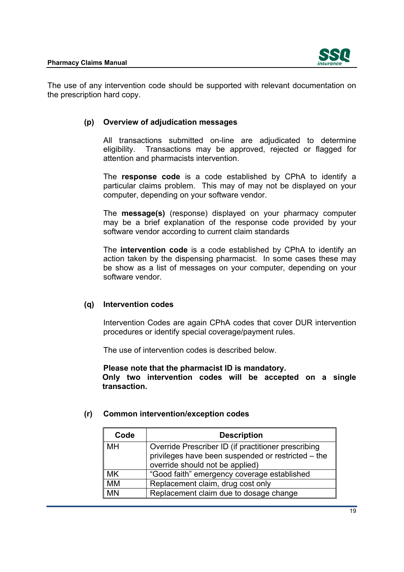

<span id="page-17-0"></span>The use of any intervention code should be supported with relevant documentation on the prescription hard copy.

# **(p) Overview of adjudication messages**

All transactions submitted on-line are adjudicated to determine eligibility. Transactions may be approved, rejected or flagged for attention and pharmacists intervention.

 The **response code** is a code established by CPhA to identify a particular claims problem. This may of may not be displayed on your computer, depending on your software vendor.

 may be a brief explanation of the response code provided by your The **message(s)** (response) displayed on your pharmacy computer software vendor according to current claim standards

The **intervention code** is a code established by CPhA to identify an action taken by the dispensing pharmacist. In some cases these may be show as a list of messages on your computer, depending on your software vendor.

# **(q) Intervention codes**

Intervention Codes are again CPhA codes that cover DUR intervention procedures or identify special coverage/payment rules.

The use of intervention codes is described below.

**Please note that the pharmacist ID is mandatory. Only two intervention codes will be accepted on a single transaction.** 

# **Code Description** MH **Override Prescriber ID** (if practitioner prescribing privileges have been suspended or restricted – the override should not be applied) MK | "Good faith" emergency coverage established MM Replacement claim, drug cost only MN Replacement claim due to dosage change

# **(r) Common intervention/exception codes**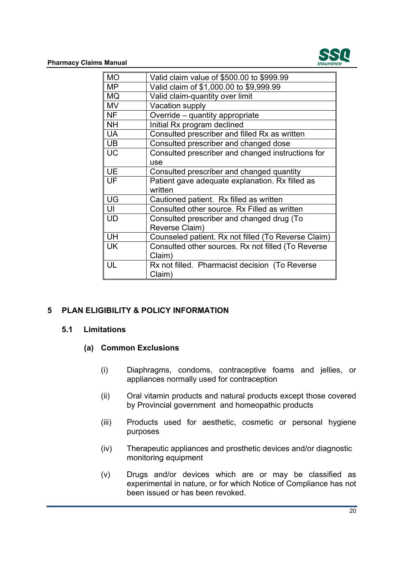

<span id="page-18-0"></span>

| <b>MO</b> | Valid claim value of \$500.00 to \$999.99           |
|-----------|-----------------------------------------------------|
| <b>MP</b> | Valid claim of \$1,000.00 to \$9,999.99             |
| <b>MQ</b> | Valid claim-quantity over limit                     |
| <b>MV</b> | Vacation supply                                     |
| <b>NF</b> | Override - quantity appropriate                     |
| <b>NH</b> | Initial Rx program declined                         |
| <b>UA</b> | Consulted prescriber and filled Rx as written       |
| UB        | Consulted prescriber and changed dose               |
| <b>UC</b> | Consulted prescriber and changed instructions for   |
|           | <b>USe</b>                                          |
| <b>UE</b> | Consulted prescriber and changed quantity           |
| UF        | Patient gave adequate explanation. Rx filled as     |
|           | written                                             |
| UG        | Cautioned patient. Rx filled as written             |
| UI        | Consulted other source. Rx Filled as written        |
| <b>UD</b> | Consulted prescriber and changed drug (To           |
|           | Reverse Claim)                                      |
| UH        | Counseled patient. Rx not filled (To Reverse Claim) |
| UK        | Consulted other sources. Rx not filled (To Reverse  |
|           | Claim)                                              |
| UL        | Rx not filled. Pharmacist decision (To Reverse      |
|           | Claim)                                              |

# **5 PLAN ELIGIBILITY & POLICY INFORMATION**

#### **5.1 Limitations**

#### **(a) Common Exclusions**

- (i) Diaphragms, condoms, contraceptive foams and jellies, or appliances normally used for contraception
- (ii) Oral vitamin products and natural products except those covered by Provincial government and homeopathic products
- $(iii)$ Products used for aesthetic, cosmetic or personal hygiene purposes
- (iv) Therapeutic appliances and prosthetic devices and/or diagnostic monitoring equipment
- (v) Drugs and/or devices which are or may be classified as experimental in nature, or for which Notice of Compliance has not been issued or has been revoked.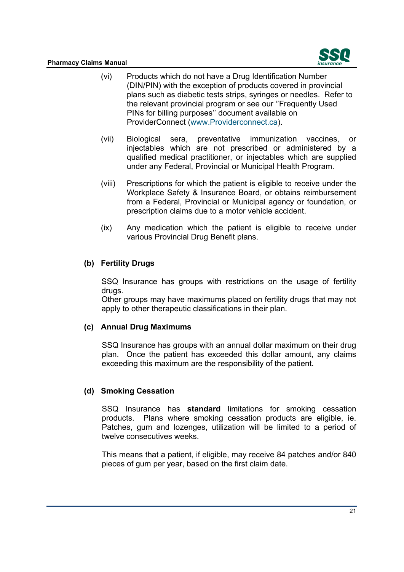

- <span id="page-19-0"></span>(vi) Products which do not have a Drug Identification Number (DIN/PIN) with the exception of products covered in provincial plans such as diabetic tests strips, syringes or needles. Refer to the relevant provincial program or see our ''Frequently Used PINs for billing purposes'' document available on ProviderConnect (<www.Providerconnect.ca>).
- (vii) Biological sera, preventative immunization vaccines, or injectables which are not prescribed or administered by a qualified medical practitioner, or injectables which are supplied under any Federal, Provincial or Municipal Health Program.
- (viii) Prescriptions for which the patient is eligible to receive under the Workplace Safety & Insurance Board, or obtains reimbursement from a Federal, Provincial or Municipal agency or foundation, or prescription claims due to a motor vehicle accident.
- (ix) Any medication which the patient is eligible to receive under various Provincial Drug Benefit plans.

# **(b) Fertility Drugs**

SSQ Insurance has groups with restrictions on the usage of fertility drugs.

Other groups may have maximums placed on fertility drugs that may not apply to other therapeutic classifications in their plan.

# **(c) Annual Drug Maximums**

SSQ Insurance has groups with an annual dollar maximum on their drug plan. Once the patient has exceeded this dollar amount, any claims exceeding this maximum are the responsibility of the patient.

# **(d) Smoking Cessation**

SSQ Insurance has **standard** limitations for smoking cessation products. Plans where smoking cessation products are eligible, ie. Patches, gum and lozenges, utilization will be limited to a period of twelve consecutives weeks.

This means that a patient, if eligible, may receive 84 patches and/or 840 pieces of gum per year, based on the first claim date.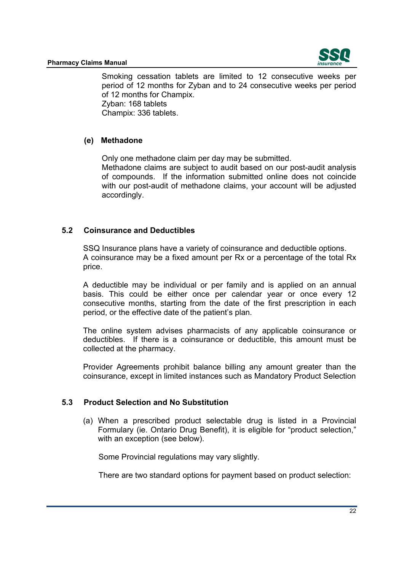

<span id="page-20-0"></span> of 12 months for Champix. Zyban: 168 tablets Smoking cessation tablets are limited to 12 consecutive weeks per period of 12 months for Zyban and to 24 consecutive weeks per period Champix: 336 tablets.

# **(e) Methadone**

 Only one methadone claim per day may be submitted. Methadone claims are subject to audit based on our post-audit analysis of compounds. If the information submitted online does not coincide with our post-audit of methadone claims, your account will be adjusted accordingly.

# **5.2 Coinsurance and Deductibles**

price. SSQ Insurance plans have a variety of coinsurance and deductible options. A coinsurance may be a fixed amount per Rx or a percentage of the total Rx

 basis. This could be either once per calendar year or once every 12 period, or the effective date of the patient's plan. A deductible may be individual or per family and is applied on an annual consecutive months, starting from the date of the first prescription in each

 deductibles. If there is a coinsurance or deductible, this amount must be The online system advises pharmacists of any applicable coinsurance or collected at the pharmacy.

Provider Agreements prohibit balance billing any amount greater than the coinsurance, except in limited instances such as Mandatory Product Selection

# **5.3 Product Selection and No Substitution**

 Formulary (ie. Ontario Drug Benefit), it is eligible for "product selection," (a) When a prescribed product selectable drug is listed in a Provincial with an exception (see below).

Some Provincial regulations may vary slightly.

There are two standard options for payment based on product selection: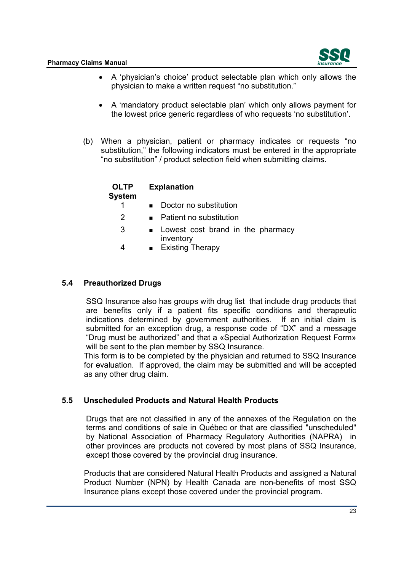

- <span id="page-21-0"></span> A 'physician's choice' product selectable plan which only allows the physician to make a written request "no substitution."
- A 'mandatory product selectable plan' which only allows payment for the lowest price generic regardless of who requests 'no substitution'.
- (b) When a physician, patient or pharmacy indicates or requests "no substitution," the following indicators must be entered in the appropriate "no substitution" / product selection field when submitting claims.

| <b>OLTP</b><br>System | <b>Explanation</b>                               |  |  |
|-----------------------|--------------------------------------------------|--|--|
|                       | Doctor no substitution                           |  |  |
| 2                     | Patient no substitution                          |  |  |
| 3                     | • Lowest cost brand in the pharmacy<br>inventory |  |  |
| 4                     | <b>Existing Therapy</b>                          |  |  |

# **5.4 Preauthorized Drugs**

SSQ Insurance also has groups with drug list that include drug products that are benefits only if a patient fits specific conditions and therapeutic indications determined by government authorities. If an initial claim is submitted for an exception drug, a response code of "DX" and a message "Drug must be authorized" and that a «Special Authorization Request Form» will be sent to the plan member by SSQ Insurance.

This form is to be completed by the physician and returned to SSQ Insurance for evaluation. If approved, the claim may be submitted and will be accepted as any other drug claim.

# **5.5 Unscheduled Products and Natural Health Products**

Drugs that are not classified in any of the annexes of the Regulation on the terms and conditions of sale in Québec or that are classified "unscheduled" by National Association of Pharmacy Regulatory Authorities (NAPRA) in other provinces are products not covered by most plans of SSQ Insurance, except those covered by the provincial drug insurance.

Products that are considered Natural Health Products and assigned a Natural Product Number (NPN) by Health Canada are non-benefits of most SSQ Insurance plans except those covered under the provincial program.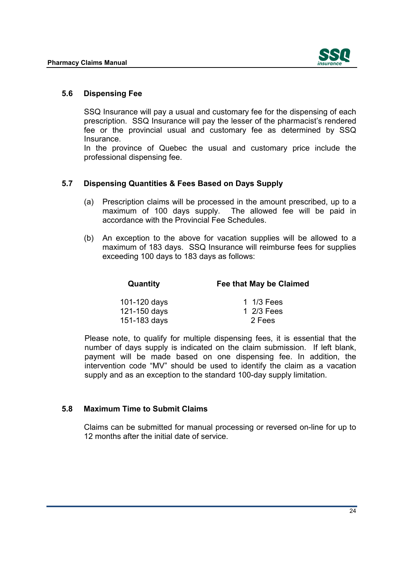

#### <span id="page-22-0"></span>**5.6 Dispensing Fee**

Insurance SSQ Insurance will pay a usual and customary fee for the dispensing of each prescription. SSQ Insurance will pay the lesser of the pharmacist's rendered fee or the provincial usual and customary fee as determined by SSQ

In the province of Quebec the usual and customary price include the professional dispensing fee.

#### **5.7 Dispensing Quantities & Fees Based on Days Supply**

- accordance with the Provincial Fee Schedules. (a) Prescription claims will be processed in the amount prescribed, up to a maximum of 100 days supply. The allowed fee will be paid in
- maximum of 183 days. SSQ Insurance will reimburse fees for supplies (b) An exception to the above for vacation supplies will be allowed to a exceeding 100 days to 183 days as follows:

| Quantity     | Fee that May be Claimed |  |
|--------------|-------------------------|--|
| 101-120 days | 1 1/3 Fees              |  |
| 121-150 days | 1 2/3 Fees              |  |
| 151-183 days | 2 Fees                  |  |

 number of days supply is indicated on the claim submission. If left blank, Please note, to qualify for multiple dispensing fees, it is essential that the payment will be made based on one dispensing fee. In addition, the intervention code "MV" should be used to identify the claim as a vacation supply and as an exception to the standard 100-day supply limitation.

#### **5.8 Maximum Time to Submit Claims**

Claims can be submitted for manual processing or reversed on-line for up to 12 months after the initial date of service.